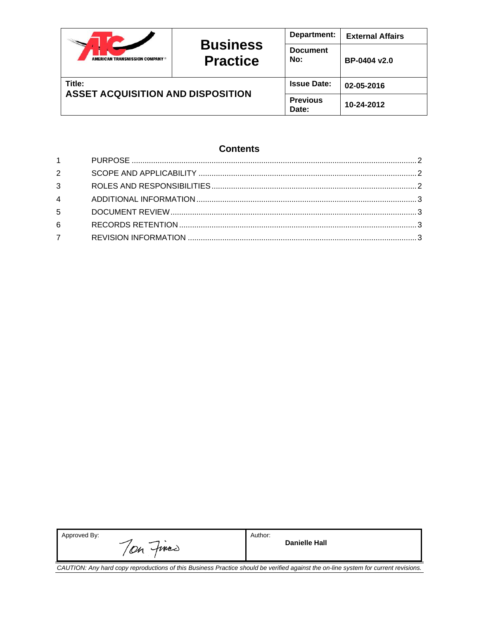|                                                    | <b>Business</b><br><b>Practice</b> | Department:            | <b>External Affairs</b> |
|----------------------------------------------------|------------------------------------|------------------------|-------------------------|
| <b>AMERICAN TRANSMISSION COMPANY *</b>             |                                    | <b>Document</b><br>No: | BP-0404 v2.0            |
| Title:<br><b>ASSET ACQUISITION AND DISPOSITION</b> | <b>Issue Date:</b>                 | 02-05-2016             |                         |
|                                                    | <b>Previous</b><br>Date:           | 10-24-2012             |                         |

# **Contents**

| $1 \quad \blacksquare$ |  |
|------------------------|--|
| $2^{\circ}$            |  |
| $3^{\circ}$            |  |
| $\overline{4}$         |  |
| 5                      |  |
| 6                      |  |
| $7^{\circ}$            |  |

| Approved By:<br>On fines                                                                                                            | Author:<br>Danielle Hall |  |  |  |  |
|-------------------------------------------------------------------------------------------------------------------------------------|--------------------------|--|--|--|--|
| CAUTION: Any hard copy reproductions of this Business Practice should be verified against the on-line system for current revisions. |                          |  |  |  |  |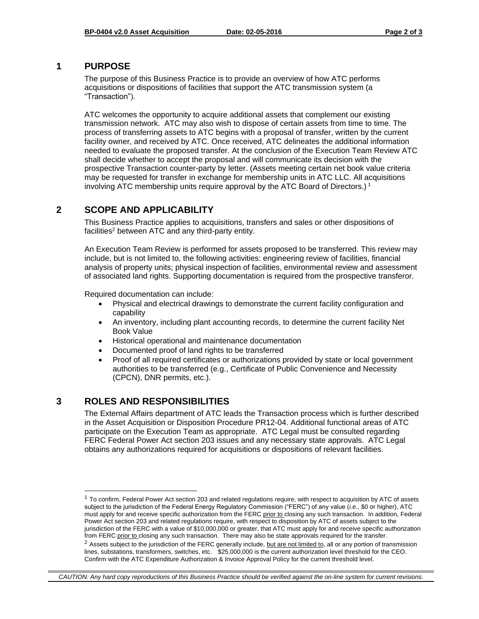### <span id="page-1-0"></span>**1 PURPOSE**

The purpose of this Business Practice is to provide an overview of how ATC performs acquisitions or dispositions of facilities that support the ATC transmission system (a "Transaction").

ATC welcomes the opportunity to acquire additional assets that complement our existing transmission network. ATC may also wish to dispose of certain assets from time to time. The process of transferring assets to ATC begins with a proposal of transfer, written by the current facility owner, and received by ATC. Once received, ATC delineates the additional information needed to evaluate the proposed transfer. At the conclusion of the Execution Team Review ATC shall decide whether to accept the proposal and will communicate its decision with the prospective Transaction counter-party by letter. (Assets meeting certain net book value criteria may be requested for transfer in exchange for membership units in ATC LLC. All acquisitions involving ATC membership units require approval by the ATC Board of Directors.) <sup>1</sup>

# <span id="page-1-1"></span>**2 SCOPE AND APPLICABILITY**

This Business Practice applies to acquisitions, transfers and sales or other dispositions of facilities<sup>2</sup> between ATC and any third-party entity.

An Execution Team Review is performed for assets proposed to be transferred. This review may include, but is not limited to, the following activities: engineering review of facilities, financial analysis of property units; physical inspection of facilities, environmental review and assessment of associated land rights. Supporting documentation is required from the prospective transferor.

Required documentation can include:

- Physical and electrical drawings to demonstrate the current facility configuration and capability
- An inventory, including plant accounting records, to determine the current facility Net Book Value
- Historical operational and maintenance documentation
- Documented proof of land rights to be transferred
- Proof of all required certificates or authorizations provided by state or local government authorities to be transferred (e.g., Certificate of Public Convenience and Necessity (CPCN), DNR permits, etc.).

# <span id="page-1-2"></span>**3 ROLES AND RESPONSIBILITIES**

l

The External Affairs department of ATC leads the Transaction process which is further described in the Asset Acquisition or Disposition Procedure PR12-04. Additional functional areas of ATC participate on the Execution Team as appropriate. ATC Legal must be consulted regarding FERC Federal Power Act section 203 issues and any necessary state approvals. ATC Legal obtains any authorizations required for acquisitions or dispositions of relevant facilities.

*CAUTION: Any hard copy reproductions of this Business Practice should be verified against the on-line system for current revisions.*

 $1$  To confirm, Federal Power Act section 203 and related regulations require, with respect to acquisition by ATC of assets subject to the jurisdiction of the Federal Energy Regulatory Commission ("FERC") of any value (*i.e.,* \$0 or higher), ATC must apply for and receive specific authorization from the FERC prior to closing any such transaction. In addition, Federal Power Act section 203 and related regulations require, with respect to disposition by ATC of assets subject to the jurisdiction of the FERC with a value of \$10,000,000 or greater, that ATC must apply for and receive specific authorization from FERC prior to closing any such transaction. There may also be state approvals required for the transfer.

<sup>&</sup>lt;sup>2</sup> Assets subject to the jurisdiction of the FERC generally include, but are not limited to, all or any portion of transmission lines, substations, transformers, switches, etc. \$25,000,000 is the current authorization level threshold for the CEO. Confirm with the ATC Expenditure Authorization & Invoice Approval Policy for the current threshold level.